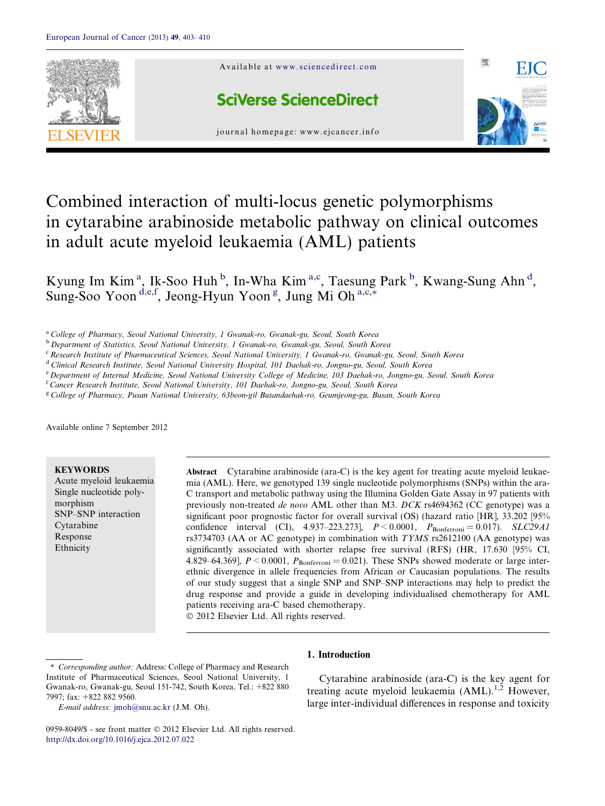

# Combined interaction of multi-locus genetic polymorphisms in cytarabine arabinoside metabolic pathway on clinical outcomes in adult acute myeloid leukaemia (AML) patients

Kyung Im Kim<sup>a</sup>, Ik-Soo Huh<sup>b</sup>, In-Wha Kim<sup>a,c</sup>, Taesung Park<sup>b</sup>, Kwang-Sung Ahn<sup>d</sup>, Sung-Soo Yoon<sup>d,e,f</sup>, Jeong-Hyun Yoon<sup>g</sup>, Jung Mi Oh<sup>a,c,\*</sup>

<sup>a</sup> College of Pharmacy, Seoul National University, 1 Gwanak-ro, Gwanak-gu, Seoul, South Korea

<sup>b</sup> Department of Statistics, Seoul National University, 1 Gwanak-ro, Gwanak-gu, Seoul, South Korea

<sup>c</sup> Research Institute of Pharmaceutical Sciences, Seoul National University, 1 Gwanak-ro, Gwanak-gu, Seoul, South Korea

<sup>d</sup> Clinical Research Institute, Seoul National University Hospital, 101 Daehak-ro, Jongno-gu, Seoul, South Korea

<sup>e</sup> Department of Internal Medicine, Seoul National University College of Medicine, 103 Daehak-ro, Jongno-gu, Seoul, South Korea

<sup>f</sup> Cancer Research Institute, Seoul National University, 101 Daehak-ro, Jongno-gu, Seoul, South Korea

<sup>g</sup> College of Pharmacy, Pusan National University, 63beon-gil Busandaehak-ro, Geumjeong-gu, Busan, South Korea

Available online 7 September 2012

# **KEYWORDS**

Acute myeloid leukaemia Single nucleotide polymorphism SNP–SNP interaction Cytarabine Response Ethnicity

Abstract Cytarabine arabinoside (ara-C) is the key agent for treating acute myeloid leukaemia (AML). Here, we genotyped 139 single nucleotide polymorphisms (SNPs) within the ara-C transport and metabolic pathway using the Illumina Golden Gate Assay in 97 patients with previously non-treated de novo AML other than M3. DCK rs4694362 (CC genotype) was a significant poor prognostic factor for overall survival (OS) (hazard ratio [HR], 33.202 [95% confidence interval (CI),  $4.937-223.273$ ],  $P < 0.0001$ ,  $P_{\text{Bonferroni}} = 0.017$ ). SLC29A1 rs3734703 (AA or AC genotype) in combination with TYMS rs2612100 (AA genotype) was significantly associated with shorter relapse free survival (RFS) (HR, 17.630 [95% CI, 4.829–64.369],  $P \le 0.0001$ ,  $P_{\text{Bonferroni}} = 0.021$ . These SNPs showed moderate or large interethnic divergence in allele frequencies from African or Caucasian populations. The results of our study suggest that a single SNP and SNP–SNP interactions may help to predict the drug response and provide a guide in developing individualised chemotherapy for AML patients receiving ara-C based chemotherapy.  $© 2012 Elsevier Ltd. All rights reserved.$ 

1. Introduction

E-mail address: [jmoh@snu.ac.kr](mailto:jmoh@snu.ac.kr) (J.M. Oh).

<sup>⇑</sup> Corresponding author: Address: College of Pharmacy and Research Institute of Pharmaceutical Sciences, Seoul National University, 1 Gwanak-ro, Gwanak-gu, Seoul 151-742, South Korea. Tel.: +822 880 7997; fax: +822 882 9560.

Cytarabine arabinoside (ara-C) is the key agent for treating acute myeloid leukaemia  $(AML)$ .<sup>[1,2](#page-7-0)</sup> However, large inter-individual differences in response and toxicity

<sup>0959-8049/\$ -</sup> see front matter © 2012 Elsevier Ltd. All rights reserved. <http://dx.doi.org/10.1016/j.ejca.2012.07.022>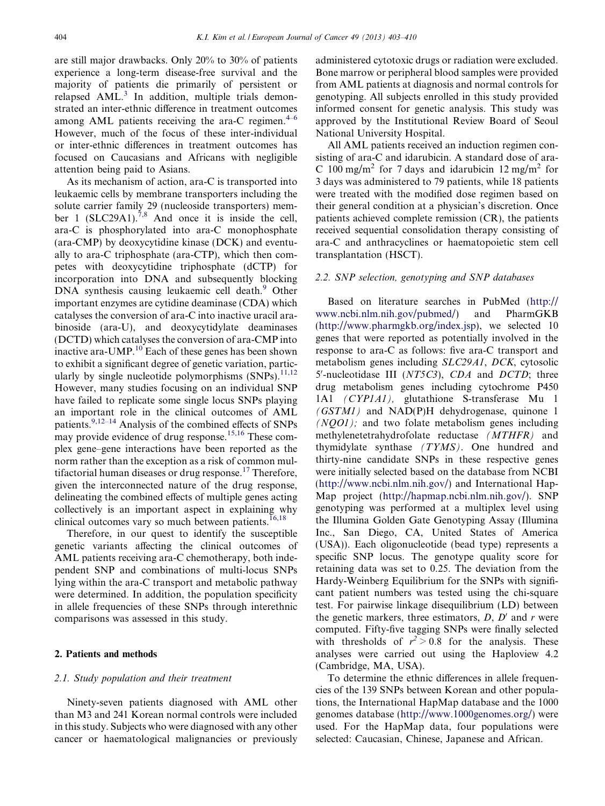are still major drawbacks. Only 20% to 30% of patients experience a long-term disease-free survival and the majority of patients die primarily of persistent or relapsed AML.<sup>[3](#page-7-0)</sup> In addition, multiple trials demonstrated an inter-ethnic difference in treatment outcomes among AML patients receiving the ara-C regimen. $4-6$ However, much of the focus of these inter-individual or inter-ethnic differences in treatment outcomes has focused on Caucasians and Africans with negligible attention being paid to Asians.

As its mechanism of action, ara-C is transported into leukaemic cells by membrane transporters including the solute carrier family 29 (nucleoside transporters) mem-ber 1 (SLC29A1).<sup>[7,8](#page-7-0)</sup> And once it is inside the cell. ara-C is phosphorylated into ara-C monophosphate (ara-CMP) by deoxycytidine kinase (DCK) and eventually to ara-C triphosphate (ara-CTP), which then competes with deoxycytidine triphosphate (dCTP) for incorporation into DNA and subsequently blocking DNA synthesis causing leukaemic cell death.<sup>[9](#page-7-0)</sup> Other important enzymes are cytidine deaminase (CDA) which catalyses the conversion of ara-C into inactive uracil arabinoside (ara-U), and deoxycytidylate deaminases (DCTD) which catalyses the conversion of ara-CMP into inactive ara-UMP.<sup>[10](#page-7-0)</sup> Each of these genes has been shown to exhibit a significant degree of genetic variation, particularly by single nucleotide polymorphisms  $(SNPs)$ .<sup>[11,12](#page-7-0)</sup> However, many studies focusing on an individual SNP have failed to replicate some single locus SNPs playing an important role in the clinical outcomes of AML patients.[9,12–14](#page-7-0) Analysis of the combined effects of SNPs may provide evidence of drug response.<sup>[15,16](#page-7-0)</sup> These complex gene–gene interactions have been reported as the norm rather than the exception as a risk of common mul-tifactorial human diseases or drug response.<sup>[17](#page-7-0)</sup> Therefore, given the interconnected nature of the drug response, delineating the combined effects of multiple genes acting collectively is an important aspect in explaining why clinical outcomes vary so much between patients.<sup>[16,18](#page-7-0)</sup>

Therefore, in our quest to identify the susceptible genetic variants affecting the clinical outcomes of AML patients receiving ara-C chemotherapy, both independent SNP and combinations of multi-locus SNPs lying within the ara-C transport and metabolic pathway were determined. In addition, the population specificity in allele frequencies of these SNPs through interethnic comparisons was assessed in this study.

#### 2. Patients and methods

# 2.1. Study population and their treatment

Ninety-seven patients diagnosed with AML other than M3 and 241 Korean normal controls were included in this study. Subjects who were diagnosed with any other cancer or haematological malignancies or previously administered cytotoxic drugs or radiation were excluded. Bone marrow or peripheral blood samples were provided from AML patients at diagnosis and normal controls for genotyping. All subjects enrolled in this study provided informed consent for genetic analysis. This study was approved by the Institutional Review Board of Seoul National University Hospital.

All AML patients received an induction regimen consisting of ara-C and idarubicin. A standard dose of ara-C 100 mg/m<sup>2</sup> for 7 days and idarubicin  $12 \text{ mg/m}^2$  for 3 days was administered to 79 patients, while 18 patients were treated with the modified dose regimen based on their general condition at a physician's discretion. Once patients achieved complete remission (CR), the patients received sequential consolidation therapy consisting of ara-C and anthracyclines or haematopoietic stem cell transplantation (HSCT).

## 2.2. SNP selection, genotyping and SNP databases

Based on literature searches in PubMed [\(http://](http://www.ncbi.nlm.nih.gov/pubmed/) [www.ncbi.nlm.nih.gov/pubmed/\)](http://www.ncbi.nlm.nih.gov/pubmed/) and PharmGKB [\(http://www.pharmgkb.org/index.jsp\)](http://www.pharmgkb.org/index.jsp), we selected 10 genes that were reported as potentially involved in the response to ara-C as follows: five ara-C transport and metabolism genes including SLC29A1, DCK, cytosolic 5'-nucleotidase III (NT5C3), CDA and DCTD; three drug metabolism genes including cytochrome P450 1A1 (CYP1A1), glutathione S-transferase Mu 1 (GSTM1) and NAD(P)H dehydrogenase, quinone 1  $(NOO1)$ ; and two folate metabolism genes including methylenetetrahydrofolate reductase (MTHFR) and thymidylate synthase (TYMS). One hundred and thirty-nine candidate SNPs in these respective genes were initially selected based on the database from NCBI [\(http://www.ncbi.nlm.nih.gov/\)](http://www.ncbi.nlm.nih.gov/) and International Hap-Map project [\(http://hapmap.ncbi.nlm.nih.gov/\)](http://hapmap.ncbi.nlm.nih.gov/). SNP genotyping was performed at a multiplex level using the Illumina Golden Gate Genotyping Assay (Illumina Inc., San Diego, CA, United States of America (USA)). Each oligonucleotide (bead type) represents a specific SNP locus. The genotype quality score for retaining data was set to 0.25. The deviation from the Hardy-Weinberg Equilibrium for the SNPs with significant patient numbers was tested using the chi-square test. For pairwise linkage disequilibrium (LD) between the genetic markers, three estimators,  $D$ ,  $D'$  and r were computed. Fifty-five tagging SNPs were finally selected with thresholds of  $r^2 > 0.8$  for the analysis. These analyses were carried out using the Haploview 4.2 (Cambridge, MA, USA).

To determine the ethnic differences in allele frequencies of the 139 SNPs between Korean and other populations, the International HapMap database and the 1000 genomes database [\(http://www.1000genomes.org/\)](http://www.1000genomes.org/) were used. For the HapMap data, four populations were selected: Caucasian, Chinese, Japanese and African.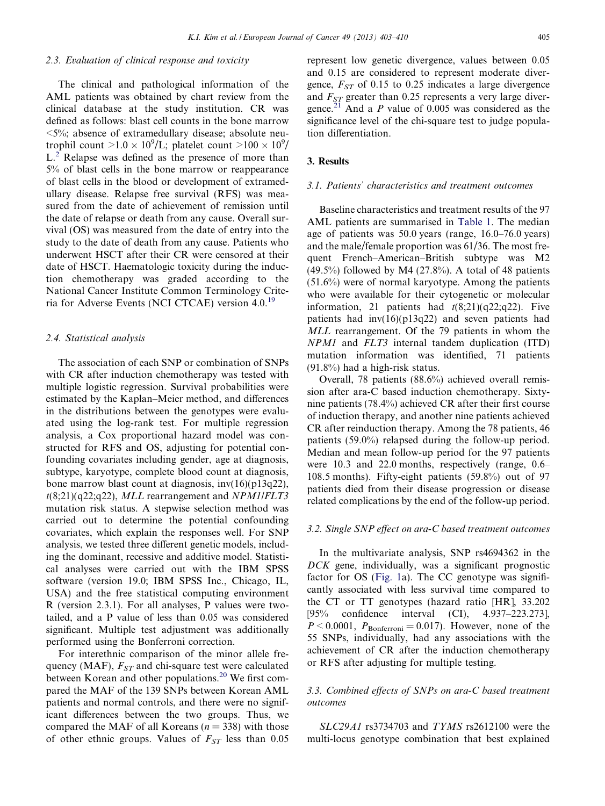# 2.3. Evaluation of clinical response and toxicity

The clinical and pathological information of the AML patients was obtained by chart review from the clinical database at the study institution. CR was defined as follows: blast cell counts in the bone marrow  $\leq$ 5%; absence of extramedullary disease; absolute neutrophil count  $>1.0 \times 10^9$ /L; platelet count  $>100 \times 10^9$ / L.<sup>[2](#page-7-0)</sup> Relapse was defined as the presence of more than 5% of blast cells in the bone marrow or reappearance of blast cells in the blood or development of extramedullary disease. Relapse free survival (RFS) was measured from the date of achievement of remission until the date of relapse or death from any cause. Overall survival (OS) was measured from the date of entry into the study to the date of death from any cause. Patients who underwent HSCT after their CR were censored at their date of HSCT. Haematologic toxicity during the induction chemotherapy was graded according to the National Cancer Institute Common Terminology Crite-ria for Adverse Events (NCI CTCAE) version 4.0.<sup>[19](#page-7-0)</sup>

# 2.4. Statistical analysis

The association of each SNP or combination of SNPs with CR after induction chemotherapy was tested with multiple logistic regression. Survival probabilities were estimated by the Kaplan–Meier method, and differences in the distributions between the genotypes were evaluated using the log-rank test. For multiple regression analysis, a Cox proportional hazard model was constructed for RFS and OS, adjusting for potential confounding covariates including gender, age at diagnosis, subtype, karyotype, complete blood count at diagnosis, bone marrow blast count at diagnosis, inv(16)(p13q22),  $t(8;21)(q22;q22)$ , MLL rearrangement and NPM1/FLT3 mutation risk status. A stepwise selection method was carried out to determine the potential confounding covariates, which explain the responses well. For SNP analysis, we tested three different genetic models, including the dominant, recessive and additive model. Statistical analyses were carried out with the IBM SPSS software (version 19.0; IBM SPSS Inc., Chicago, IL, USA) and the free statistical computing environment R (version 2.3.1). For all analyses, P values were twotailed, and a P value of less than 0.05 was considered significant. Multiple test adjustment was additionally performed using the Bonferroni correction.

For interethnic comparison of the minor allele frequency (MAF),  $F_{ST}$  and chi-square test were calculated between Korean and other populations.<sup>20</sup> We first compared the MAF of the 139 SNPs between Korean AML patients and normal controls, and there were no significant differences between the two groups. Thus, we compared the MAF of all Koreans ( $n = 338$ ) with those of other ethnic groups. Values of  $F_{ST}$  less than 0.05 represent low genetic divergence, values between 0.05 and 0.15 are considered to represent moderate divergence,  $F_{ST}$  of 0.15 to 0.25 indicates a large divergence and  $F_{ST}$  greater than 0.25 represents a very large diver-gence.<sup>[21](#page-7-0)</sup> And a P value of 0.005 was considered as the significance level of the chi-square test to judge population differentiation.

# 3. Results

## 3.1. Patients' characteristics and treatment outcomes

Baseline characteristics and treatment results of the 97 AML patients are summarised in [Table 1.](#page-3-0) The median age of patients was 50.0 years (range, 16.0–76.0 years) and the male/female proportion was 61/36. The most frequent French–American–British subtype was M2  $(49.5\%)$  followed by M4  $(27.8\%)$ . A total of 48 patients (51.6%) were of normal karyotype. Among the patients who were available for their cytogenetic or molecular information, 21 patients had  $t(8;21)(q22;q22)$ . Five patients had inv(16)(p13q22) and seven patients had MLL rearrangement. Of the 79 patients in whom the NPM1 and FLT3 internal tandem duplication (ITD) mutation information was identified, 71 patients (91.8%) had a high-risk status.

Overall, 78 patients (88.6%) achieved overall remission after ara-C based induction chemotherapy. Sixtynine patients (78.4%) achieved CR after their first course of induction therapy, and another nine patients achieved CR after reinduction therapy. Among the 78 patients, 46 patients (59.0%) relapsed during the follow-up period. Median and mean follow-up period for the 97 patients were 10.3 and 22.0 months, respectively (range, 0.6– 108.5 months). Fifty-eight patients (59.8%) out of 97 patients died from their disease progression or disease related complications by the end of the follow-up period.

#### 3.2. Single SNP effect on ara-C based treatment outcomes

In the multivariate analysis, SNP rs4694362 in the DCK gene, individually, was a significant prognostic factor for OS [\(Fig. 1a](#page-4-0)). The CC genotype was significantly associated with less survival time compared to the CT or TT genotypes (hazard ratio [HR], 33.202 [95% confidence interval (CI), 4.937–223.273],  $P < 0.0001$ ,  $P_{\text{Bonferroni}} = 0.017$ ). However, none of the 55 SNPs, individually, had any associations with the achievement of CR after the induction chemotherapy or RFS after adjusting for multiple testing.

# 3.3. Combined effects of SNPs on ara-C based treatment outcomes

SLC29A1 rs3734703 and TYMS rs2612100 were the multi-locus genotype combination that best explained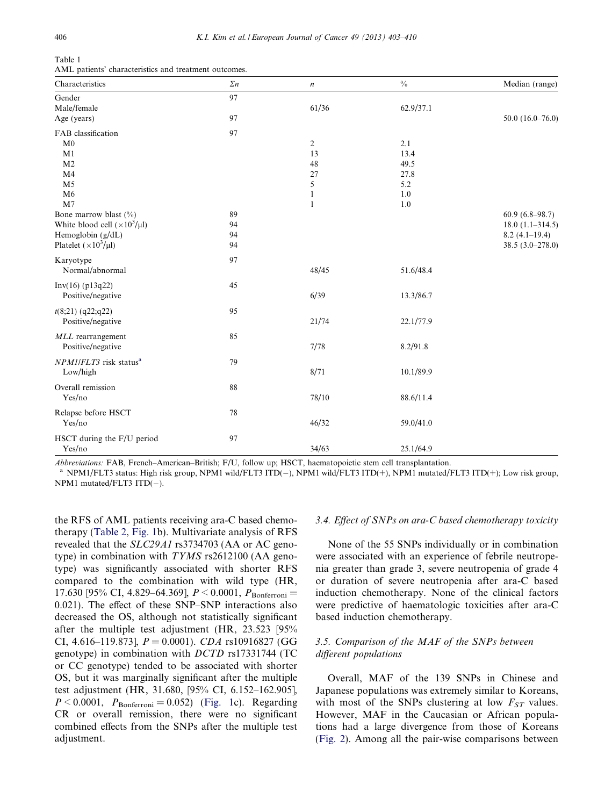<span id="page-3-0"></span>

| Table 1 |          |
|---------|----------|
| A MT    | notionte |

| Characteristics                        | $\Sigma n$ | $\boldsymbol{n}$ | $\frac{0}{0}$ | Median (range)       |
|----------------------------------------|------------|------------------|---------------|----------------------|
| Gender                                 | 97         |                  |               |                      |
| Male/female                            |            | 61/36            | 62.9/37.1     |                      |
| Age (years)                            | 97         |                  |               | 50.0 $(16.0 - 76.0)$ |
| FAB classification                     | 97         |                  |               |                      |
| M <sub>0</sub>                         |            | $\overline{2}$   | 2.1           |                      |
| M1                                     |            | 13               | 13.4          |                      |
| M <sub>2</sub>                         |            | 48               | 49.5          |                      |
| M <sub>4</sub>                         |            | 27               | 27.8          |                      |
| M <sub>5</sub>                         |            | 5                | 5.2           |                      |
| M6                                     |            | 1                | 1.0           |                      |
| M <sub>7</sub>                         |            | $\mathbf{1}$     | 1.0           |                      |
| Bone marrow blast (%)                  | 89         |                  |               | $60.9(6.8-98.7)$     |
| White blood cell $(\times 10^3/\mu l)$ | 94         |                  |               | $18.0(1.1 - 314.5)$  |
| Hemoglobin (g/dL)                      | 94         |                  |               | $8.2(4.1-19.4)$      |
| Platelet ( $\times 10^3/\mu$ l)        | 94         |                  |               | 38.5 (3.0-278.0)     |
| Karyotype                              | 97         |                  |               |                      |
| Normal/abnormal                        |            | 48/45            | 51.6/48.4     |                      |
| Inv(16) (p13q22)                       | 45         |                  |               |                      |
| Positive/negative                      |            | 6/39             | 13.3/86.7     |                      |
|                                        |            |                  |               |                      |
| $t(8;21)$ (q22;q22)                    | 95         |                  |               |                      |
| Positive/negative                      |            | 21/74            | 22.1/77.9     |                      |
| MLL rearrangement                      | 85         |                  |               |                      |
| Positive/negative                      |            | 7/78             | 8.2/91.8      |                      |
| NPM1/FLT3 risk status <sup>a</sup>     | 79         |                  |               |                      |
| Low/high                               |            | 8/71             | 10.1/89.9     |                      |
|                                        |            |                  |               |                      |
| Overall remission                      | 88         |                  |               |                      |
| Yes/no                                 |            | 78/10            | 88.6/11.4     |                      |
| Relapse before HSCT                    | 78         |                  |               |                      |
| Yes/no                                 |            | 46/32            | 59.0/41.0     |                      |
|                                        |            |                  |               |                      |
| HSCT during the F/U period             | 97         |                  |               |                      |
| Yes/no                                 |            | 34/63            | 25.1/64.9     |                      |

Abbreviations: FAB, French–American–British; F/U, follow up; HSCT, haematopoietic stem cell transplantation.

<sup>a</sup> NPM1/FLT3 status: High risk group, NPM1 wild/FLT3 ITD(-), NPM1 wild/FLT3 ITD(+), NPM1 mutated/FLT3 ITD(+); Low risk group, NPM1 mutated/FLT3  $ITD(-)$ .

the RFS of AML patients receiving ara-C based chemotherapy [\(Table 2](#page-5-0), [Fig. 1b](#page-4-0)). Multivariate analysis of RFS revealed that the SLC29A1 rs3734703 (AA or AC genotype) in combination with TYMS rs2612100 (AA genotype) was significantly associated with shorter RFS compared to the combination with wild type (HR, 17.630 [95% CI, 4.829–64.369],  $P < 0.0001$ ,  $P_{\text{Bonferroni}} =$ 0.021). The effect of these SNP–SNP interactions also decreased the OS, although not statistically significant after the multiple test adjustment (HR, 23.523 [95% CI, 4.616–119.873],  $P = 0.0001$ ). CDA rs10916827 (GG genotype) in combination with DCTD rs17331744 (TC or CC genotype) tended to be associated with shorter OS, but it was marginally significant after the multiple test adjustment (HR, 31.680, [95% CI, 6.152–162.905],  $P < 0.0001$ ,  $P_{\text{Bonferroni}} = 0.052$ ) [\(Fig. 1](#page-4-0)c). Regarding CR or overall remission, there were no significant combined effects from the SNPs after the multiple test adjustment.

#### 3.4. Effect of SNPs on ara-C based chemotherapy toxicity

None of the 55 SNPs individually or in combination were associated with an experience of febrile neutropenia greater than grade 3, severe neutropenia of grade 4 or duration of severe neutropenia after ara-C based induction chemotherapy. None of the clinical factors were predictive of haematologic toxicities after ara-C based induction chemotherapy.

# 3.5. Comparison of the MAF of the SNPs between different populations

Overall, MAF of the 139 SNPs in Chinese and Japanese populations was extremely similar to Koreans, with most of the SNPs clustering at low  $F_{ST}$  values. However, MAF in the Caucasian or African populations had a large divergence from those of Koreans [\(Fig. 2\)](#page-5-0). Among all the pair-wise comparisons between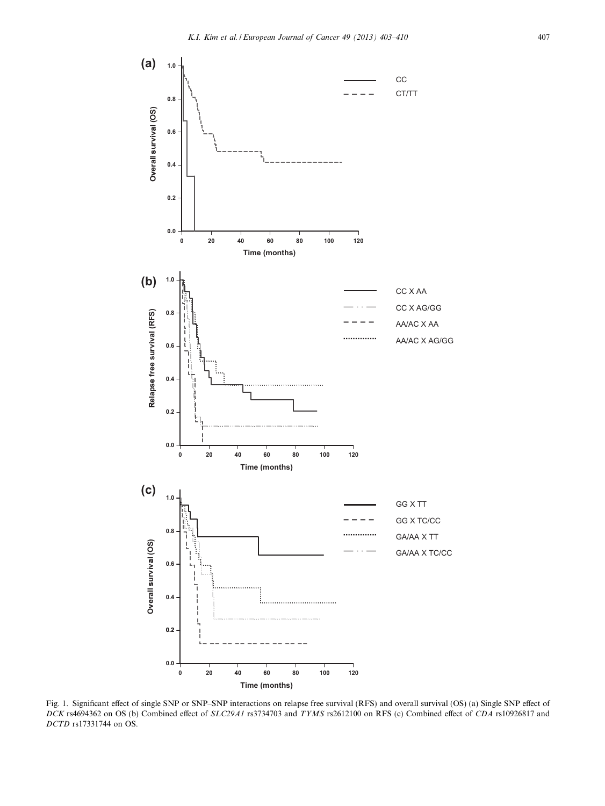<span id="page-4-0"></span>

Fig. 1. Significant effect of single SNP or SNP–SNP interactions on relapse free survival (RFS) and overall survival (OS) (a) Single SNP effect of DCK rs4694362 on OS (b) Combined effect of SLC29A1 rs3734703 and TYMS rs2612100 on RFS (c) Combined effect of CDA rs10926817 and DCTD rs17331744 on OS.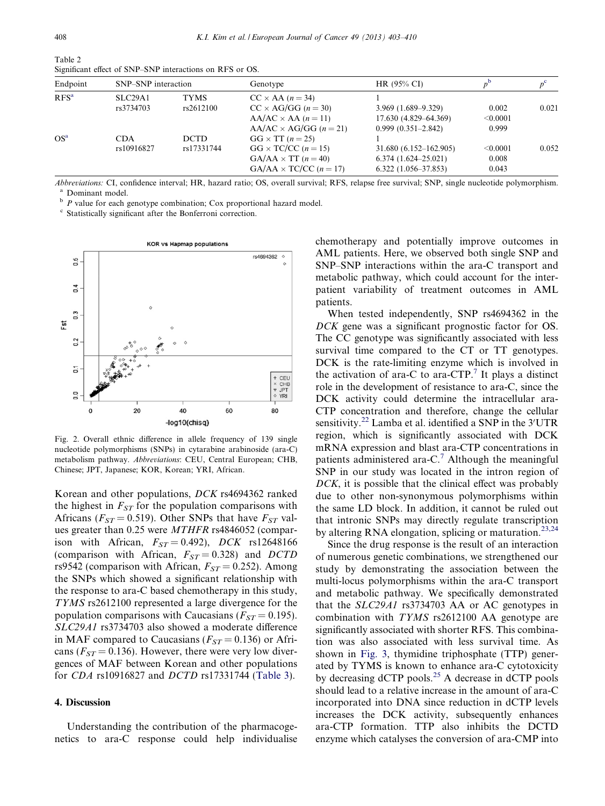| Endpoint        | SNP-SNP interaction      |                           | Genotype                                                                                                                 | HR (95% CI)                                                                  |                            |       |
|-----------------|--------------------------|---------------------------|--------------------------------------------------------------------------------------------------------------------------|------------------------------------------------------------------------------|----------------------------|-------|
| $RFS^a$         | SLC29A1<br>rs3734703     | <b>TYMS</b><br>rs2612100  | $CC \times AA$ (n = 34)<br>$CC \times AG/GG$ ( $n = 30$ )<br>$AA/AC \times AA$ (n = 11)<br>$AA/AC \times AG/GG$ (n = 21) | $3.969(1.689 - 9.329)$<br>17.630 (4.829–64.369)<br>$0.999(0.351 - 2.842)$    | 0.002<br>< 0.0001<br>0.999 | 0.021 |
| OS <sup>a</sup> | <b>CDA</b><br>rs10916827 | <b>DCTD</b><br>rs17331744 | $GG \times TT (n = 25)$<br>$GG \times TC/CC (n = 15)$<br>$GA/AA \times TT (n = 40)$<br>$GA/AA \times TC/CC (n = 17)$     | 31.680 (6.152-162.905)<br>$6.374(1.624 - 25.021)$<br>$6.322(1.056 - 37.853)$ | < 0.0001<br>0.008<br>0.043 | 0.052 |

Significant effect of SNP–SNP interactions on RFS or OS.

Abbreviations: CI, confidence interval; HR, hazard ratio; OS, overall survival; RFS, relapse free survival; SNP, single nucleotide polymorphism. <sup>a</sup> Dominant model.<br><sup>b</sup> P value for each genotype combination; Cox proportional hazard model.

<sup>c</sup> Statistically significant after the Bonferroni correction.



Fig. 2. Overall ethnic difference in allele frequency of 139 single nucleotide polymorphisms (SNPs) in cytarabine arabinoside (ara-C) metabolism pathway. Abbreviations: CEU, Central European; CHB, Chinese; JPT, Japanese; KOR, Korean; YRI, African.

Korean and other populations, DCK rs4694362 ranked the highest in  $F_{ST}$  for the population comparisons with Africans ( $F_{ST}$  = 0.519). Other SNPs that have  $F_{ST}$  values greater than 0.25 were MTHFR rs4846052 (comparison with African,  $F_{ST} = 0.492$ ), DCK rs12648166 (comparison with African,  $F_{ST} = 0.328$ ) and DCTD rs9542 (comparison with African,  $F_{ST} = 0.252$ ). Among the SNPs which showed a significant relationship with the response to ara-C based chemotherapy in this study, TYMS rs2612100 represented a large divergence for the population comparisons with Caucasians ( $F_{ST} = 0.195$ ). SLC29A1 rs3734703 also showed a moderate difference in MAF compared to Caucasians ( $F_{ST} = 0.136$ ) or Africans ( $F_{ST}$  = 0.136). However, there were very low divergences of MAF between Korean and other populations for CDA rs10916827 and DCTD rs17331744 [\(Table 3\)](#page-6-0).

# 4. Discussion

Understanding the contribution of the pharmacogenetics to ara-C response could help individualise chemotherapy and potentially improve outcomes in AML patients. Here, we observed both single SNP and SNP–SNP interactions within the ara-C transport and metabolic pathway, which could account for the interpatient variability of treatment outcomes in AML patients.

When tested independently, SNP rs4694362 in the DCK gene was a significant prognostic factor for OS. The CC genotype was significantly associated with less survival time compared to the CT or TT genotypes. DCK is the rate-limiting enzyme which is involved in the activation of ara-C to ara-CTP.<sup>[7](#page-7-0)</sup> It plays a distinct role in the development of resistance to ara-C, since the DCK activity could determine the intracellular ara-CTP concentration and therefore, change the cellular sensitivity.<sup>[22](#page-7-0)</sup> Lamba et al. identified a SNP in the 3'UTR region, which is significantly associated with DCK mRNA expression and blast ara-CTP concentrations in patients administered ara- $C<sup>7</sup>$  $C<sup>7</sup>$  $C<sup>7</sup>$  Although the meaningful SNP in our study was located in the intron region of DCK, it is possible that the clinical effect was probably due to other non-synonymous polymorphisms within the same LD block. In addition, it cannot be ruled out that intronic SNPs may directly regulate transcription by altering RNA elongation, splicing or maturation.<sup>[23,24](#page-7-0)</sup>

Since the drug response is the result of an interaction of numerous genetic combinations, we strengthened our study by demonstrating the association between the multi-locus polymorphisms within the ara-C transport and metabolic pathway. We specifically demonstrated that the SLC29A1 rs3734703 AA or AC genotypes in combination with TYMS rs2612100 AA genotype are significantly associated with shorter RFS. This combination was also associated with less survival time. As shown in [Fig. 3](#page-6-0), thymidine triphosphate (TTP) generated by TYMS is known to enhance ara-C cytotoxicity by decreasing  $dCTP$  pools.<sup>[25](#page-7-0)</sup> A decrease in  $dCTP$  pools should lead to a relative increase in the amount of ara-C incorporated into DNA since reduction in dCTP levels increases the DCK activity, subsequently enhances ara-CTP formation. TTP also inhibits the DCTD enzyme which catalyses the conversion of ara-CMP into

<span id="page-5-0"></span>Table 2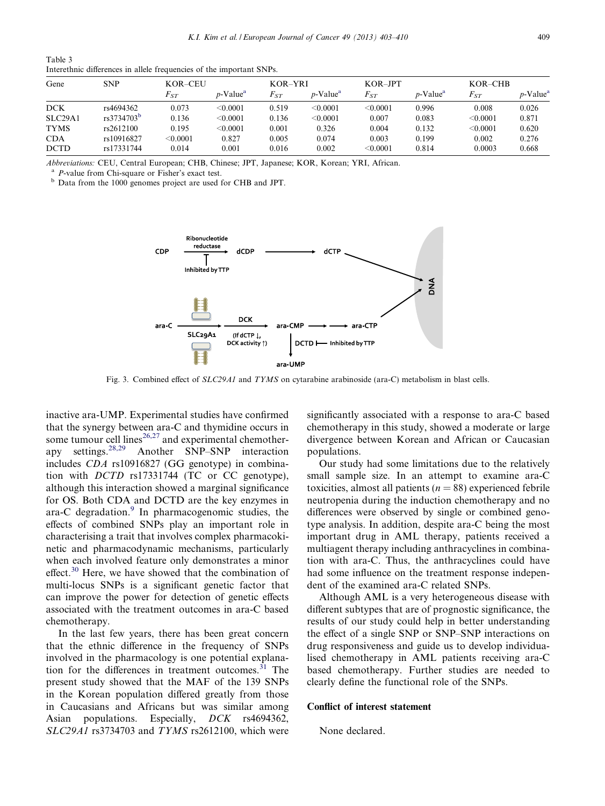<span id="page-6-0"></span>

| Table 3                                                              |  |
|----------------------------------------------------------------------|--|
| Interethnic differences in allele frequencies of the important SNPs. |  |

| Gene        | <b>SNP</b>             | KOR-CEU    |                         | KOR-YRI  |                         | $KOR$ -JPT      |                         | $KOR-CHB$ |                         |
|-------------|------------------------|------------|-------------------------|----------|-------------------------|-----------------|-------------------------|-----------|-------------------------|
|             |                        | $F_{ST}$   | $p$ -Value <sup>a</sup> | $F_{ST}$ | $p$ -Value <sup>a</sup> | $F_{ST}$        | $p$ -Value <sup>a</sup> | $F_{ST}$  | $p$ -Value <sup>a</sup> |
| <b>DCK</b>  | rs4694362              | 0.073      | $<$ 0.0001 $\,$         | 0.519    | < 0.0001                | < 0.0001        | 0.996                   | 0.008     | 0.026                   |
| SLC29A1     | rs3734703 <sup>b</sup> | 0.136      | < 0.0001                | 0.136    | $<$ 0.0001 $\,$         | 0.007           | 0.083                   | < 0.0001  | 0.871                   |
| <b>TYMS</b> | rs2612100              | 0.195      | $<$ 0.0001 $\,$         | 0.001    | 0.326                   | 0.004           | 0.132                   | < 0.0001  | 0.620                   |
| <b>CDA</b>  | rs10916827             | $<$ 0.0001 | 0.827                   | 0.005    | 0.074                   | 0.003           | 0.199                   | 0.002     | 0.276                   |
| <b>DCTD</b> | rs17331744             | 0.014      | 0.001                   | 0.016    | 0.002                   | $<$ 0.0001 $\,$ | 0.814                   | 0.0003    | 0.668                   |

Abbreviations: CEU, Central European; CHB, Chinese; JPT, Japanese; KOR, Korean; YRI, African.

 $P$ -value from Chi-square or Fisher's exact test.

<sup>b</sup> Data from the 1000 genomes project are used for CHB and JPT.



Fig. 3. Combined effect of SLC29A1 and TYMS on cytarabine arabinoside (ara-C) metabolism in blast cells.

inactive ara-UMP. Experimental studies have confirmed that the synergy between ara-C and thymidine occurs in some tumour cell lines<sup>[26,27](#page-7-0)</sup> and experimental chemotherapy settings.[28,29](#page-7-0) Another SNP–SNP interaction includes CDA rs10916827 (GG genotype) in combination with DCTD rs17331744 (TC or CC genotype), although this interaction showed a marginal significance for OS. Both CDA and DCTD are the key enzymes in ara-C degradation. $9 \text{ In } \rho$  $9 \text{ In } \rho$  pharmacogenomic studies, the effects of combined SNPs play an important role in characterising a trait that involves complex pharmacokinetic and pharmacodynamic mechanisms, particularly when each involved feature only demonstrates a minor effect. $30$  Here, we have showed that the combination of multi-locus SNPs is a significant genetic factor that can improve the power for detection of genetic effects associated with the treatment outcomes in ara-C based chemotherapy.

In the last few years, there has been great concern that the ethnic difference in the frequency of SNPs involved in the pharmacology is one potential explana-tion for the differences in treatment outcomes.<sup>[31](#page-7-0)</sup> The present study showed that the MAF of the 139 SNPs in the Korean population differed greatly from those in Caucasians and Africans but was similar among Asian populations. Especially, *DCK* rs4694362, SLC29A1 rs3734703 and TYMS rs2612100, which were significantly associated with a response to ara-C based chemotherapy in this study, showed a moderate or large divergence between Korean and African or Caucasian populations.

Our study had some limitations due to the relatively small sample size. In an attempt to examine ara-C toxicities, almost all patients ( $n = 88$ ) experienced febrile neutropenia during the induction chemotherapy and no differences were observed by single or combined genotype analysis. In addition, despite ara-C being the most important drug in AML therapy, patients received a multiagent therapy including anthracyclines in combination with ara-C. Thus, the anthracyclines could have had some influence on the treatment response independent of the examined ara-C related SNPs.

Although AML is a very heterogeneous disease with different subtypes that are of prognostic significance, the results of our study could help in better understanding the effect of a single SNP or SNP–SNP interactions on drug responsiveness and guide us to develop individualised chemotherapy in AML patients receiving ara-C based chemotherapy. Further studies are needed to clearly define the functional role of the SNPs.

#### Conflict of interest statement

None declared.